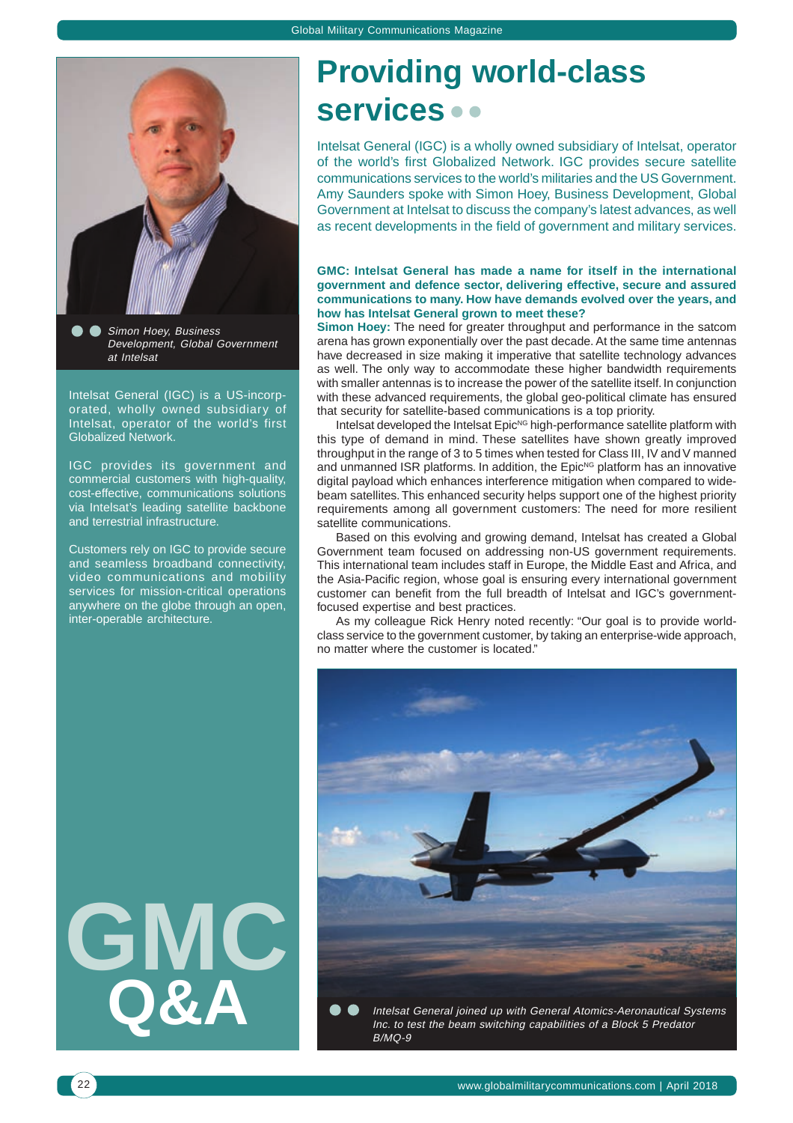

Simon Hoey, Business Development, Global Government at Intelsat

Intelsat General (IGC) is a US-incorporated, wholly owned subsidiary of Intelsat, operator of the world's first Globalized Network.

IGC provides its government and commercial customers with high-quality, cost-effective, communications solutions via Intelsat's leading satellite backbone and terrestrial infrastructure.

Customers rely on IGC to provide secure and seamless broadband connectivity, video communications and mobility services for mission-critical operations anywhere on the globe through an open, inter-operable architecture.

**GMC Q&A**

# **Providing world-class services**

Intelsat General (IGC) is a wholly owned subsidiary of Intelsat, operator of the world's first Globalized Network. IGC provides secure satellite communications services to the world's militaries and the US Government. Amy Saunders spoke with Simon Hoey, Business Development, Global Government at Intelsat to discuss the company's latest advances, as well as recent developments in the field of government and military services.

## **GMC: Intelsat General has made a name for itself in the international government and defence sector, delivering effective, secure and assured communications to many. How have demands evolved over the years, and how has Intelsat General grown to meet these?**

**Simon Hoey:** The need for greater throughput and performance in the satcom arena has grown exponentially over the past decade. At the same time antennas have decreased in size making it imperative that satellite technology advances as well. The only way to accommodate these higher bandwidth requirements with smaller antennas is to increase the power of the satellite itself. In conjunction with these advanced requirements, the global geo-political climate has ensured that security for satellite-based communications is a top priority.

Intelsat developed the Intelsat Epic<sup>NG</sup> high-performance satellite platform with this type of demand in mind. These satellites have shown greatly improved throughput in the range of 3 to 5 times when tested for Class III, IV and V manned and unmanned ISR platforms. In addition, the  $Epic<sup>NG</sup>$  platform has an innovative digital payload which enhances interference mitigation when compared to widebeam satellites. This enhanced security helps support one of the highest priority requirements among all government customers: The need for more resilient satellite communications.

Based on this evolving and growing demand, Intelsat has created a Global Government team focused on addressing non-US government requirements. This international team includes staff in Europe, the Middle East and Africa, and the Asia-Pacific region, whose goal is ensuring every international government customer can benefit from the full breadth of Intelsat and IGC's governmentfocused expertise and best practices.

As my colleague Rick Henry noted recently: "Our goal is to provide worldclass service to the government customer, by taking an enterprise-wide approach, no matter where the customer is located."